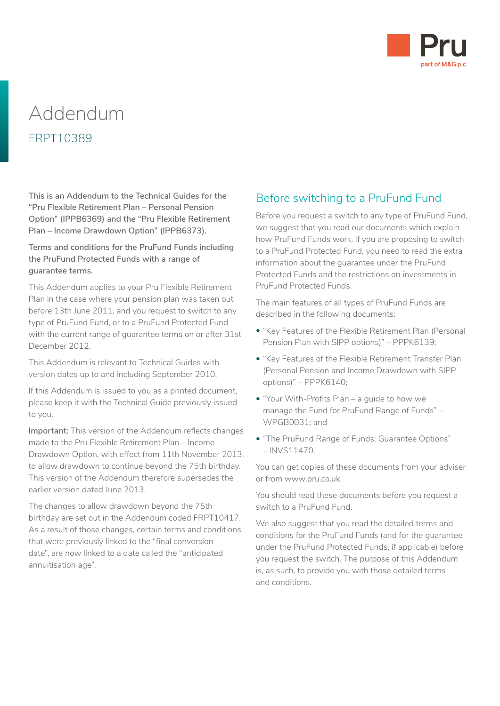

# Addendum FRPT10389

**This is an Addendum to the Technical Guides for the "Pru Flexible Retirement Plan – Personal Pension Option" (IPPB6369) and the "Pru Flexible Retirement Plan – Income Drawdown Option" (IPPB6373).**

**Terms and conditions for the PruFund Funds including the PruFund Protected Funds with a range of guarantee terms.**

This Addendum applies to your Pru Flexible Retirement Plan in the case where your pension plan was taken out before 13th June 2011, and you request to switch to any type of PruFund Fund, or to a PruFund Protected Fund with the current range of guarantee terms on or after 31st December 2012.

This Addendum is relevant to Technical Guides with version dates up to and including September 2010.

If this Addendum is issued to you as a printed document, please keep it with the Technical Guide previously issued to you.

**Important:** This version of the Addendum reflects changes made to the Pru Flexible Retirement Plan – Income Drawdown Option, with effect from 11th November 2013, to allow drawdown to continue beyond the 75th birthday. This version of the Addendum therefore supersedes the earlier version dated June 2013.

The changes to allow drawdown beyond the 75th birthday are set out in the Addendum coded FRPT10417. As a result of those changes, certain terms and conditions that were previously linked to the "final conversion date", are now linked to a date called the "anticipated annuitisation age".

## Before switching to a PruFund Fund

Before you request a switch to any type of PruFund Fund, we suggest that you read our documents which explain how PruFund Funds work. If you are proposing to switch to a PruFund Protected Fund, you need to read the extra information about the guarantee under the PruFund Protected Funds and the restrictions on investments in PruFund Protected Funds.

The main features of all types of PruFund Funds are described in the following documents:

- "Key Features of the Flexible Retirement Plan (Personal Pension Plan with SIPP options)" – PPPK6139;
- "Key Features of the Flexible Retirement Transfer Plan (Personal Pension and Income Drawdown with SIPP options)" – PPPK6140;
- "Your With-Profits Plan a guide to how we manage the Fund for PruFund Range of Funds" – WPGB0031; and
- "The PruFund Range of Funds: Guarantee Options" – INVS11470.

You can get copies of these documents from your adviser or from www.pru.co.uk.

You should read these documents before you request a switch to a PruFund Fund.

We also suggest that you read the detailed terms and conditions for the PruFund Funds (and for the guarantee under the PruFund Protected Funds, if applicable) before you request the switch. The purpose of this Addendum is, as such, to provide you with those detailed terms and conditions.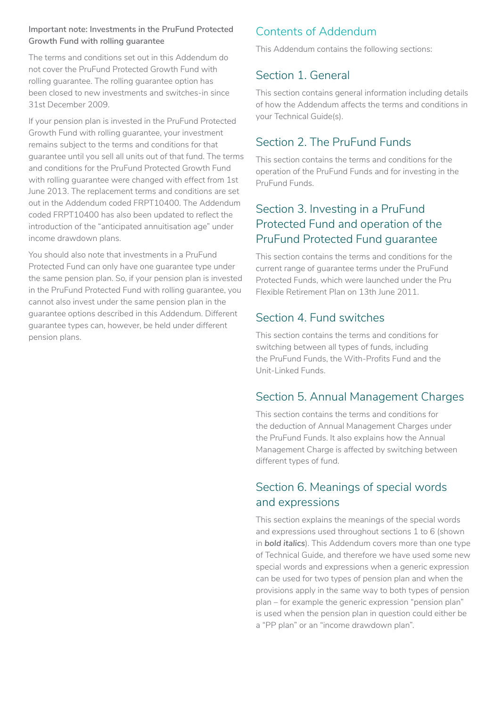#### **Important note: Investments in the PruFund Protected Growth Fund with rolling guarantee**

The terms and conditions set out in this Addendum do not cover the PruFund Protected Growth Fund with rolling guarantee. The rolling guarantee option has been closed to new investments and switches-in since 31st December 2009.

If your pension plan is invested in the PruFund Protected Growth Fund with rolling guarantee, your investment remains subject to the terms and conditions for that guarantee until you sell all units out of that fund. The terms and conditions for the PruFund Protected Growth Fund with rolling guarantee were changed with effect from 1st June 2013. The replacement terms and conditions are set out in the Addendum coded FRPT10400. The Addendum coded FRPT10400 has also been updated to reflect the introduction of the "anticipated annuitisation age" under income drawdown plans.

You should also note that investments in a PruFund Protected Fund can only have one guarantee type under the same pension plan. So, if your pension plan is invested in the PruFund Protected Fund with rolling guarantee, you cannot also invest under the same pension plan in the guarantee options described in this Addendum. Different guarantee types can, however, be held under different pension plans.

## Contents of Addendum

This Addendum contains the following sections:

## Section 1. General

This section contains general information including details of how the Addendum affects the terms and conditions in your Technical Guide(s).

## Section 2. The PruFund Funds

This section contains the terms and conditions for the operation of the PruFund Funds and for investing in the PruFund Funds.

## Section 3. Investing in a PruFund Protected Fund and operation of the PruFund Protected Fund guarantee

This section contains the terms and conditions for the current range of guarantee terms under the PruFund Protected Funds, which were launched under the Pru Flexible Retirement Plan on 13th June 2011.

## Section 4. Fund switches

This section contains the terms and conditions for switching between all types of funds, including the PruFund Funds, the With-Profits Fund and the Unit-Linked Funds.

## Section 5. Annual Management Charges

This section contains the terms and conditions for the deduction of Annual Management Charges under the PruFund Funds. It also explains how the Annual Management Charge is affected by switching between different types of fund.

## Section 6. Meanings of special words and expressions

This section explains the meanings of the special words and expressions used throughout sections 1 to 6 (shown in *bold italics*). This Addendum covers more than one type of Technical Guide, and therefore we have used some new special words and expressions when a generic expression can be used for two types of pension plan and when the provisions apply in the same way to both types of pension plan – for example the generic expression "pension plan" is used when the pension plan in question could either be a "PP plan" or an "income drawdown plan".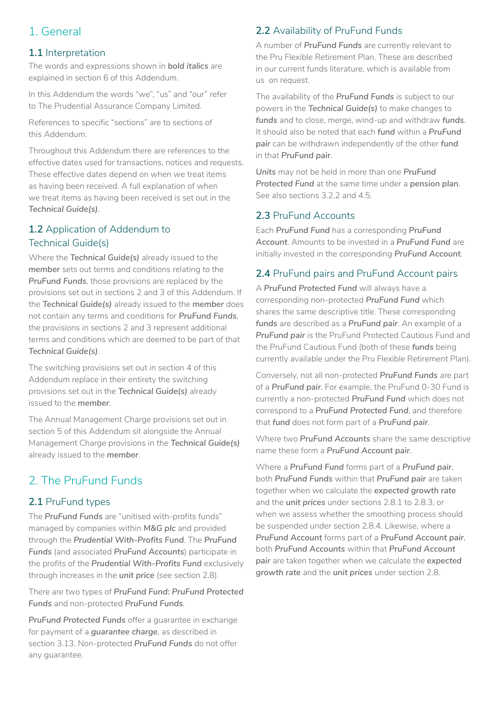## 1. General

### **1.1** Interpretation

The words and expressions shown in *bold italics* are explained in section 6 of this Addendum.

In this Addendum the words "we", "us" and "our" refer to The Prudential Assurance Company Limited.

References to specific "sections" are to sections of this Addendum.

Throughout this Addendum there are references to the effective dates used for transactions, notices and requests. These effective dates depend on when we treat items as having been received. A full explanation of when we treat items as having been received is set out in the *Technical Guide(s)*.

## **1.2** Application of Addendum to Technical Guide(s)

Where the *Technical Guide(s)* already issued to the *member* sets out terms and conditions relating to the *PruFund Funds*, those provisions are replaced by the provisions set out in sections 2 and 3 of this Addendum. If the *Technical Guide(s)* already issued to the *member* does not contain any terms and conditions for *PruFund Funds*, the provisions in sections 2 and 3 represent additional terms and conditions which are deemed to be part of that *Technical Guide(s)*.

The switching provisions set out in section 4 of this Addendum replace in their entirety the switching provisions set out in the *Technical Guide(s)* already issued to the *member*.

The Annual Management Charge provisions set out in section 5 of this Addendum sit alongside the Annual Management Charge provisions in the *Technical Guide(s)*  already issued to the *member*.

## 2. The PruFund Funds

## **2.1** PruFund types

The *PruFund Funds* are "unitised with-profits funds" managed by companies within *M&G plc* and provided through the *Prudential With-Profits Fund*. The *PruFund Funds* (and associated *PruFund Accounts*) participate in the profits of the *Prudential With-Profits Fund* exclusively through increases in the *unit price* (see section 2.8).

There are two types of *PruFund Fund: PruFund Protected Funds* and non-protected *PruFund Funds*.

*PruFund Protected Funds* offer a guarantee in exchange for payment of a *guarantee charge*, as described in section 3.13. Non-protected *PruFund Funds* do not offer any guarantee.

## **2.2** Availability of PruFund Funds

A number of *PruFund Funds* are currently relevant to the Pru Flexible Retirement Plan. These are described in our current funds literature, which is available from us on request.

The availability of the *PruFund Funds* is subject to our powers in the *Technical Guide(s)* to make changes to *funds* and to close, merge, wind-up and withdraw *funds*. It should also be noted that each *fund* within a *PruFund pair* can be withdrawn independently of the other *fund*  in that *PruFund pair*.

*Units* may not be held in more than one *PruFund Protected Fund* at the same time under a *pension plan*. See also sections 3.2.2 and 4.5.

## **2.3** PruFund Accounts

Each *PruFund Fund* has a corresponding *PruFund Account*. Amounts to be invested in a *PruFund Fund* are initially invested in the corresponding *PruFund Account*.

## **2.4** PruFund pairs and PruFund Account pairs

A *PruFund Protected Fund* will always have a corresponding non-protected *PruFund Fund* which shares the same descriptive title. These corresponding *funds* are described as a *PruFund pair*. An example of a *PruFund pair* is the PruFund Protected Cautious Fund and the PruFund Cautious Fund (both of these *funds* being currently available under the Pru Flexible Retirement Plan).

Conversely, not all non-protected *PruFund Funds* are part of a *PruFund pair*. For example, the PruFund 0-30 Fund is currently a non-protected *PruFund Fund* which does not correspond to a *PruFund Protected Fund*, and therefore that *fund* does not form part of a *PruFund pair*.

Where two *PruFund Accounts* share the same descriptive name these form a *PruFund Account pair*.

Where a *PruFund Fund* forms part of a *PruFund pair*, both *PruFund Funds* within that *PruFund pair* are taken together when we calculate the *expected growth rate*  and the *unit prices* under sections 2.8.1 to 2.8.3, or when we assess whether the smoothing process should be suspended under section 2.8.4. Likewise, where a *PruFund Account* forms part of a *PruFund Account pair*, both *PruFund Accounts* within that *PruFund Account pair* are taken together when we calculate the *expected growth rate* and the *unit prices* under section 2.8.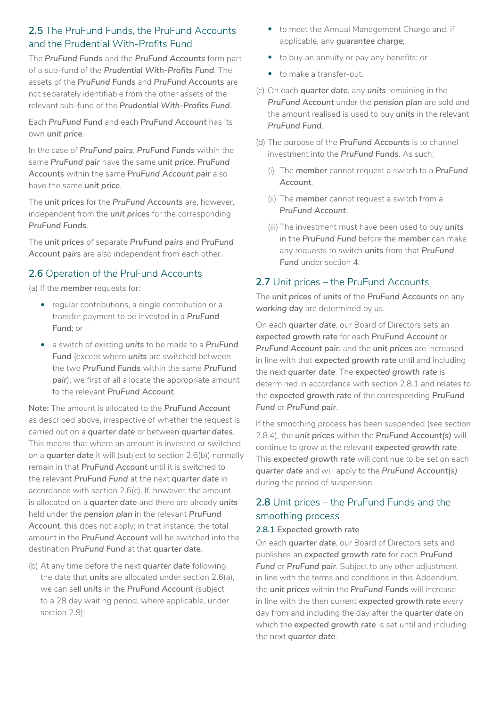## **2.5** The PruFund Funds, the PruFund Accounts and the Prudential With-Profits Fund

The *PruFund Funds* and the *PruFund Accounts* form part of a sub-fund of the *Prudential With-Profits Fund*. The assets of the *PruFund Funds* and *PruFund Accounts* are not separately identifiable from the other assets of the relevant sub-fund of the *Prudential With-Profits Fund*.

Each *PruFund Fund* and each *PruFund Account* has its own *unit price*.

In the case of *PruFund pairs*, *PruFund Funds* within the same *PruFund pair* have the same *unit price*. *PruFund Accounts* within the same *PruFund Account pair* also have the same *unit price*.

The *unit prices* for the *PruFund Accounts* are, however, independent from the *unit prices* for the corresponding *PruFund Funds*.

The *unit prices* of separate *PruFund pairs* and *PruFund Account pairs* are also independent from each other.

## **2.6** Operation of the PruFund Accounts

(a) If the *member* requests for:

- regular contributions, a single contribution or a transfer payment to be invested in a *PruFund Fund*; or
- a switch of existing *units* to be made to a *PruFund Fund* (except where *units* are switched between the two *PruFund Funds* within the same *PruFund pair*), we first of all allocate the appropriate amount to the relevant *PruFund Account*.

**Note:** The amount is allocated to the *PruFund Account*  as described above, irrespective of whether the request is carried out on a *quarter date* or between *quarter dates*. This means that where an amount is invested or switched on a *quarter date* it will (subject to section 2.6(b)) normally remain in that *PruFund Account* until it is switched to the relevant *PruFund Fund* at the next *quarter date* in accordance with section 2.6(c). If, however, the amount is allocated on a *quarter date* and there are already *units*  held under the *pension plan* in the relevant *PruFund Account*, this does not apply; in that instance, the total amount in the *PruFund Account* will be switched into the destination *PruFund Fund* at that *quarter date*.

(b) At any time before the next *quarter date* following the date that *units* are allocated under section 2.6(a), we can sell *units* in the *PruFund Account* (subject to a 28 day waiting period, where applicable, under section 2.9):

- to meet the Annual Management Charge and, if applicable, any *guarantee charge*;
- to buy an annuity or pay any benefits; or
- to make a transfer-out.
- (c) On each *quarter date*, any *units* remaining in the *PruFund Account* under the *pension plan* are sold and the amount realised is used to buy *units* in the relevant *PruFund Fund*.
- (d) The purpose of the *PruFund Accounts* is to channel investment into the *PruFund Funds*. As such:
	- (i) The *member* cannot request a switch to a *PruFund Account*.
	- (ii) The *member* cannot request a switch from a *PruFund Account*.
	- (iii) The investment must have been used to buy *units*  in the *PruFund Fund* before the *member* can make any requests to switch *units* from that *PruFund*  **Fund** under section 4.

### **2.7** Unit prices – the PruFund Accounts

The *unit prices* of *units* of the *PruFund Accounts* on any *working day* are determined by us.

On each *quarter date*, our Board of Directors sets an *expected growth rate* for each *PruFund Account* or *PruFund Account pair*, and the *unit prices* are increased in line with that *expected growth rate* until and including the next *quarter date*. The *expected growth rate* is determined in accordance with section 2.8.1 and relates to the *expected growth rate* of the corresponding *PruFund Fund* or *PruFund pair*.

If the smoothing process has been suspended (see section 2.8.4), the *unit prices* within the *PruFund Account(s)* will continue to grow at the relevant *expected growth rate*. This *expected growth rate* will continue to be set on each *quarter date* and will apply to the *PruFund Account(s)*  during the period of suspension.

## **2.8** Unit prices – the PruFund Funds and the smoothing process

#### **2.8.1 Expected growth rate**

On each *quarter date*, our Board of Directors sets and publishes an *expected growth rate* for each *PruFund Fund* or *PruFund pair*. Subject to any other adjustment in line with the terms and conditions in this Addendum, the *unit prices* within the *PruFund Funds* will increase in line with the then current *expected growth rate* every day from and including the day after the *quarter date* on which the *expected growth rate* is set until and including the next *quarter date*.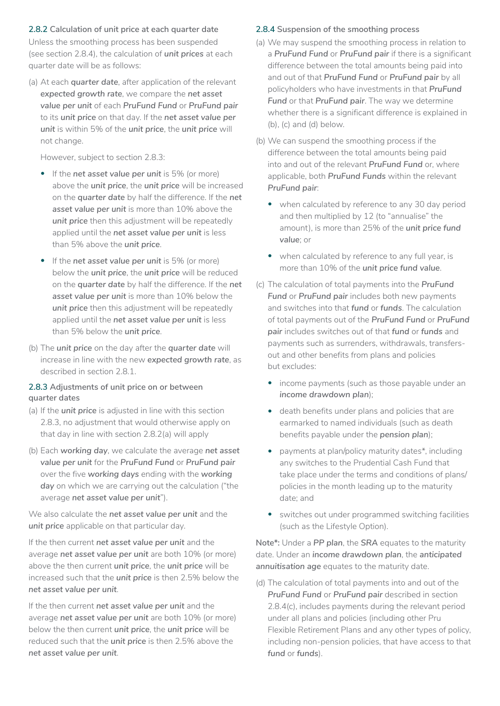#### **2.8.2 Calculation of unit price at each quarter date**

Unless the smoothing process has been suspended (see section 2.8.4), the calculation of *unit prices* at each quarter date will be as follows:

(a) At each *quarter date*, after application of the relevant *expected growth rate*, we compare the *net asset value per unit* of each *PruFund Fund* or *PruFund pair*  to its *unit price* on that day. If the *net asset value per unit* is within 5% of the *unit price*, the *unit price* will not change.

However, subject to section 2.8.3:

- If the *net asset value per unit* is 5% (or more) above the *unit price*, the *unit price* will be increased on the *quarter date* by half the difference. If the *net asset value per unit* is more than 10% above the *unit price* then this adjustment will be repeatedly applied until the *net asset value per unit* is less than 5% above the *unit price*.
- If the *net asset value per unit* is 5% (or more) below the *unit price*, the *unit price* will be reduced on the *quarter date* by half the difference. If the *net asset value per unit* is more than 10% below the *unit price* then this adjustment will be repeatedly applied until the *net asset value per unit* is less than 5% below the *unit price*.
- (b) The *unit price* on the day after the *quarter date* will increase in line with the new *expected growth rate*, as described in section 2.8.1.

#### **2.8.3 Adjustments of unit price on or between quarter dates**

- (a) If the *unit price* is adjusted in line with this section 2.8.3, no adjustment that would otherwise apply on that day in line with section 2.8.2(a) will apply
- (b) Each *working day*, we calculate the average *net asset value per unit* for the *PruFund Fund* or *PruFund pair*  over the five *working days* ending with the *working day* on which we are carrying out the calculation ("the average *net asset value per unit*").

We also calculate the *net asset value per unit* and the *unit price* applicable on that particular day.

If the then current *net asset value per unit* and the average *net asset value per unit* are both 10% (or more) above the then current *unit price*, the *unit price* will be increased such that the *unit price* is then 2.5% below the *net asset value per unit*.

If the then current *net asset value per unit* and the average *net asset value per unit* are both 10% (or more) below the then current *unit price*, the *unit price* will be reduced such that the *unit price* is then 2.5% above the *net asset value per unit*.

#### **2.8.4 Suspension of the smoothing process**

- (a) We may suspend the smoothing process in relation to a *PruFund Fund* or *PruFund pair* if there is a significant difference between the total amounts being paid into and out of that *PruFund Fund* or *PruFund pair* by all policyholders who have investments in that *PruFund Fund* or that *PruFund pair*. The way we determine whether there is a significant difference is explained in (b), (c) and (d) below.
- (b) We can suspend the smoothing process if the difference between the total amounts being paid into and out of the relevant *PruFund Fund* or, where applicable, both *PruFund Funds* within the relevant *PruFund pair*:
	- when calculated by reference to any 30 day period and then multiplied by 12 (to "annualise" the amount), is more than 25% of the *unit price fund value*; or
	- when calculated by reference to any full year, is more than 10% of the *unit price fund value*.
- (c) The calculation of total payments into the *PruFund Fund* or *PruFund pair* includes both new payments and switches into that *fund* or *funds*. The calculation of total payments out of the *PruFund Fund* or *PruFund pair* includes switches out of that *fund* or *funds* and payments such as surrenders, withdrawals, transfersout and other benefits from plans and policies but excludes:
	- income payments (such as those payable under an *income drawdown plan*);
	- death benefits under plans and policies that are earmarked to named individuals (such as death benefits payable under the *pension plan*);
	- payments at plan/policy maturity dates\*, including any switches to the Prudential Cash Fund that take place under the terms and conditions of plans/ policies in the month leading up to the maturity date; and
	- switches out under programmed switching facilities (such as the Lifestyle Option).

**Note\*:** Under a *PP plan*, the *SRA* equates to the maturity date. Under an *income drawdown plan*, the *anticipated annuitisation age* equates to the maturity date.

(d) The calculation of total payments into and out of the *PruFund Fund* or *PruFund pair* described in section 2.8.4(c), includes payments during the relevant period under all plans and policies (including other Pru Flexible Retirement Plans and any other types of policy, including non-pension policies, that have access to that *fund* or *funds*).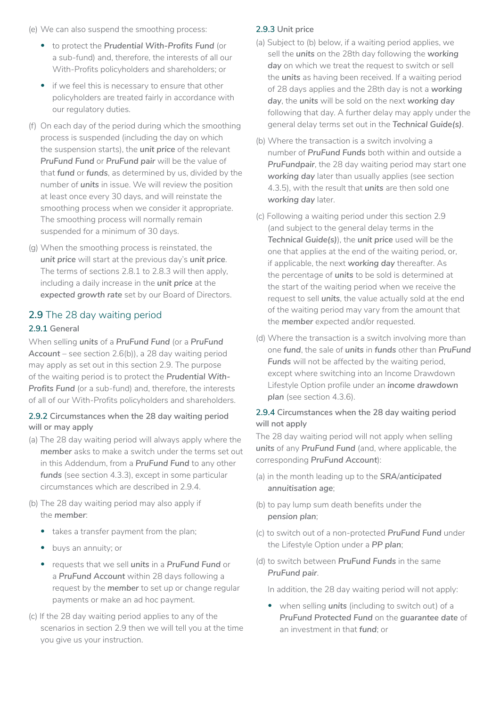(e) We can also suspend the smoothing process:

- to protect the *Prudential With-Profits Fund* (or a sub-fund) and, therefore, the interests of all our With-Profits policyholders and shareholders; or
- if we feel this is necessary to ensure that other policyholders are treated fairly in accordance with our regulatory duties.
- (f) On each day of the period during which the smoothing process is suspended (including the day on which the suspension starts), the *unit price* of the relevant *PruFund Fund* or *PruFund pair* will be the value of that *fund* or *funds*, as determined by us, divided by the number of *units* in issue. We will review the position at least once every 30 days, and will reinstate the smoothing process when we consider it appropriate. The smoothing process will normally remain suspended for a minimum of 30 days.
- (g) When the smoothing process is reinstated, the *unit price* will start at the previous day's *unit price*. The terms of sections 2.8.1 to 2.8.3 will then apply, including a daily increase in the *unit price* at the *expected growth rate* set by our Board of Directors.

### **2.9** The 28 day waiting period

#### **2.9.1 General**

When selling *units* of a *PruFund Fund* (or a *PruFund Account* – see section 2.6(b)), a 28 day waiting period may apply as set out in this section 2.9. The purpose of the waiting period is to protect the *Prudential With-Profits Fund* (or a sub-fund) and, therefore, the interests of all of our With-Profits policyholders and shareholders.

#### **2.9.2 Circumstances when the 28 day waiting period will or may apply**

- (a) The 28 day waiting period will always apply where the *member* asks to make a switch under the terms set out in this Addendum, from a *PruFund Fund* to any other *funds* (see section 4.3.3), except in some particular circumstances which are described in 2.9.4.
- (b) The 28 day waiting period may also apply if the *member*:
	- takes a transfer payment from the plan;
	- buys an annuity; or
	- requests that we sell *units* in a *PruFund Fund* or a *PruFund Account* within 28 days following a request by the *member* to set up or change regular payments or make an ad hoc payment.
- (c) If the 28 day waiting period applies to any of the scenarios in section 2.9 then we will tell you at the time you give us your instruction.

#### **2.9.3 Unit price**

- (a) Subject to (b) below, if a waiting period applies, we sell the *units* on the 28th day following the *working day* on which we treat the request to switch or sell the *units* as having been received. If a waiting period of 28 days applies and the 28th day is not a *working day*, the *units* will be sold on the next *working day*  following that day. A further delay may apply under the general delay terms set out in the *Technical Guide(s)*.
- (b) Where the transaction is a switch involving a number of *PruFund Funds* both within and outside a *PruFundpair*, the 28 day waiting period may start one *working day* later than usually applies (see section 4.3.5), with the result that *units* are then sold one *working day* later.
- (c) Following a waiting period under this section 2.9 (and subject to the general delay terms in the *Technical Guide(s)*), the *unit price* used will be the one that applies at the end of the waiting period, or, if applicable, the next *working day* thereafter. As the percentage of *units* to be sold is determined at the start of the waiting period when we receive the request to sell *units*, the value actually sold at the end of the waiting period may vary from the amount that the *member* expected and/or requested.
- (d) Where the transaction is a switch involving more than one *fund*, the sale of *units* in *funds* other than *PruFund Funds* will not be affected by the waiting period, except where switching into an Income Drawdown Lifestyle Option profile under an *income drawdown plan* (see section 4.3.6).

#### **2.9.4 Circumstances when the 28 day waiting period will not apply**

The 28 day waiting period will not apply when selling *units* of any *PruFund Fund* (and, where applicable, the corresponding *PruFund Account*):

- (a) in the month leading up to the *SRA*/*anticipated annuitisation age*;
- (b) to pay lump sum death benefits under the *pension plan*;
- (c) to switch out of a non-protected *PruFund Fund* under the Lifestyle Option under a *PP plan*;
- (d) to switch between *PruFund Funds* in the same *PruFund pair*.

In addition, the 28 day waiting period will not apply:

• when selling *units* (including to switch out) of a *PruFund Protected Fund* on the *guarantee date* of an investment in that *fund*; or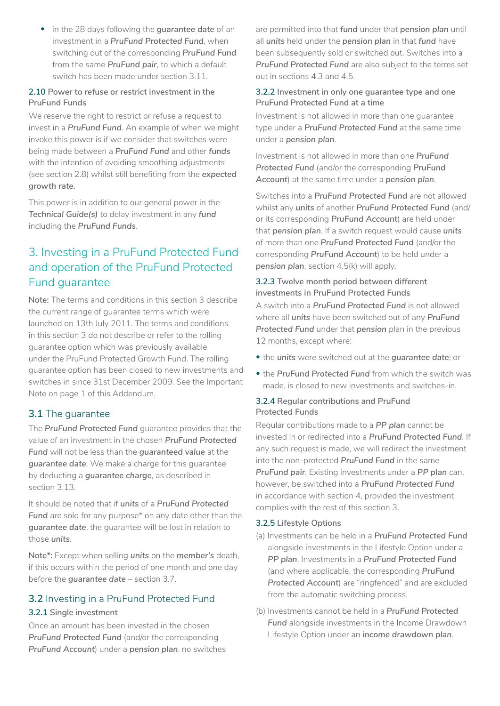• in the 28 days following the *guarantee date* of an investment in a *PruFund Protected Fund*, when switching out of the corresponding *PruFund Fund*  from the same *PruFund pair*, to which a default switch has been made under section 3.11.

#### **2.10 Power to refuse or restrict investment in the PruFund Funds**

We reserve the right to restrict or refuse a request to invest in a *PruFund Fund*. An example of when we might invoke this power is if we consider that switches were being made between a *PruFund Fund* and other *funds*  with the intention of avoiding smoothing adjustments (see section 2.8) whilst still benefiting from the *expected growth rate*.

This power is in addition to our general power in the *Technical Guide(s)* to delay investment in any *fund*  including the *PruFund Funds*.

## 3. Investing in a PruFund Protected Fund and operation of the PruFund Protected Fund guarantee

**Note:** The terms and conditions in this section 3 describe the current range of guarantee terms which were launched on 13th July 2011. The terms and conditions in this section 3 do not describe or refer to the rolling guarantee option which was previously available under the PruFund Protected Growth Fund. The rolling guarantee option has been closed to new investments and switches in since 31st December 2009. See the Important Note on page 1 of this Addendum.

## **3.1** The guarantee

The *PruFund Protected Fund* guarantee provides that the value of an investment in the chosen *PruFund Protected Fund* will not be less than the *guaranteed value* at the *guarantee date*. We make a charge for this guarantee by deducting a *guarantee charge*, as described in section 3.13.

It should be noted that if *units* of a *PruFund Protected Fund* are sold for any purpose\* on any date other than the *guarantee date*, the guarantee will be lost in relation to those *units*.

**Note\*:** Except when selling *units* on the *member's* death, if this occurs within the period of one month and one day before the *guarantee date* – section 3.7.

## **3.2** Investing in a PruFund Protected Fund

### **3.2.1 Single investment**

Once an amount has been invested in the chosen *PruFund Protected Fund* (and/or the corresponding *PruFund Account*) under a *pension plan*, no switches

are permitted into that *fund* under that *pension plan* until all *units* held under the *pension plan* in that *fund* have been subsequently sold or switched out. Switches into a *PruFund Protected Fund* are also subject to the terms set out in sections 4.3 and 4.5.

#### **3.2.2 Investment in only one guarantee type and one PruFund Protected Fund at a time**

Investment is not allowed in more than one guarantee type under a *PruFund Protected Fund* at the same time under a *pension plan*.

Investment is not allowed in more than one *PruFund Protected Fund* (and/or the corresponding *PruFund Account*) at the same time under a *pension plan*.

Switches into a *PruFund Protected Fund* are not allowed whilst any *units* of another *PruFund Protected Fund* (and/ or its corresponding *PruFund Account*) are held under that *pension plan*. If a switch request would cause *units*  of more than one *PruFund Protected Fund* (and/or the corresponding *PruFund Account*) to be held under a *pension plan*, section 4.5(k) will apply.

### **3.2.3 Twelve month period between different investments in PruFund Protected Funds**

A switch into a *PruFund Protected Fund* is not allowed where all *units* have been switched out of any *PruFund Protected Fund* under that *pension* plan in the previous 12 months, except where:

- the *units* were switched out at the *guarantee date*; or
- the *PruFund Protected Fund* from which the switch was made, is closed to new investments and switches-in.

### **3.2.4 Regular contributions and PruFund Protected Funds**

Regular contributions made to a *PP plan* cannot be invested in or redirected into a *PruFund Protected Fund*. If any such request is made, we will redirect the investment into the non-protected *PruFund Fund* in the same *PruFund pair*. Existing investments under a *PP plan* can, however, be switched into a *PruFund Protected Fund*  in accordance with section 4, provided the investment complies with the rest of this section 3.

#### **3.2.5 Lifestyle Options**

- (a) Investments can be held in a *PruFund Protected Fund*  alongside investments in the Lifestyle Option under a *PP plan*. Investments in a *PruFund Protected Fund*  (and where applicable, the corresponding *PruFund Protected Account*) are "ringfenced" and are excluded from the automatic switching process.
- (b) Investments cannot be held in a *PruFund Protected Fund* alongside investments in the Income Drawdown Lifestyle Option under an *income drawdown plan*.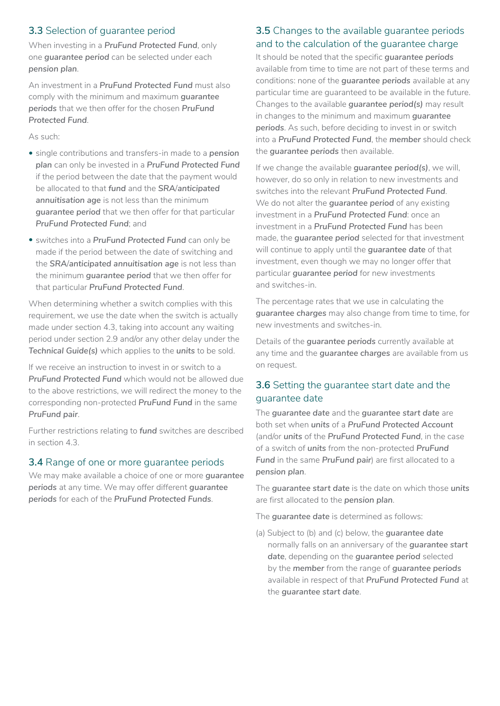## **3.3** Selection of guarantee period

When investing in a *PruFund Protected Fund*, only one *guarantee period* can be selected under each *pension plan*.

An investment in a *PruFund Protected Fund* must also comply with the minimum and maximum *guarantee periods* that we then offer for the chosen *PruFund Protected Fund*.

As such:

- single contributions and transfers-in made to a *pension plan* can only be invested in a *PruFund Protected Fund*  if the period between the date that the payment would be allocated to that *fund* and the *SRA*/*anticipated annuitisation age* is not less than the minimum *guarantee period* that we then offer for that particular *PruFund Protected Fund*; and
- switches into a *PruFund Protected Fund* can only be made if the period between the date of switching and the *SRA*/*anticipated annuitisation age* is not less than the minimum *guarantee period* that we then offer for that particular *PruFund Protected Fund*.

When determining whether a switch complies with this requirement, we use the date when the switch is actually made under section 4.3, taking into account any waiting period under section 2.9 and/or any other delay under the *Technical Guide(s)* which applies to the *units* to be sold.

If we receive an instruction to invest in or switch to a *PruFund Protected Fund* which would not be allowed due to the above restrictions, we will redirect the money to the corresponding non-protected *PruFund Fund* in the same *PruFund pair*.

Further restrictions relating to *fund* switches are described in section 4.3.

#### **3.4** Range of one or more guarantee periods

We may make available a choice of one or more *guarantee periods* at any time. We may offer different *guarantee periods* for each of the *PruFund Protected Funds*.

### **3.5** Changes to the available guarantee periods and to the calculation of the guarantee charge

It should be noted that the specific *guarantee periods*  available from time to time are not part of these terms and conditions: none of the *guarantee periods* available at any particular time are guaranteed to be available in the future. Changes to the available *guarantee period(s)* may result in changes to the minimum and maximum *guarantee periods*. As such, before deciding to invest in or switch into a *PruFund Protected Fund*, the *member* should check the *guarantee periods* then available.

If we change the available *guarantee period(s)*, we will, however, do so only in relation to new investments and switches into the relevant *PruFund Protected Fund*. We do not alter the *guarantee period* of any existing investment in a *PruFund Protected Fund*: once an investment in a *PruFund Protected Fund* has been made, the *guarantee period* selected for that investment will continue to apply until the *guarantee date* of that investment, even though we may no longer offer that particular *guarantee period* for new investments and switches-in.

The percentage rates that we use in calculating the *guarantee charges* may also change from time to time, for new investments and switches-in.

Details of the *guarantee periods* currently available at any time and the *guarantee charges* are available from us on request.

## **3.6** Setting the guarantee start date and the guarantee date

The *guarantee date* and the *guarantee start date* are both set when *units* of a *PruFund Protected Account*  (and/or *units* of the *PruFund Protected Fund*, in the case of a switch of *units* from the non-protected *PruFund Fund* in the same *PruFund pair*) are first allocated to a *pension plan*.

The *guarantee start date* is the date on which those *units*  are first allocated to the *pension plan*.

The *guarantee date* is determined as follows:

(a) Subject to (b) and (c) below, the *guarantee date*  normally falls on an anniversary of the *guarantee start date*, depending on the *guarantee period* selected by the *member* from the range of *guarantee periods*  available in respect of that *PruFund Protected Fund* at the *guarantee start date*.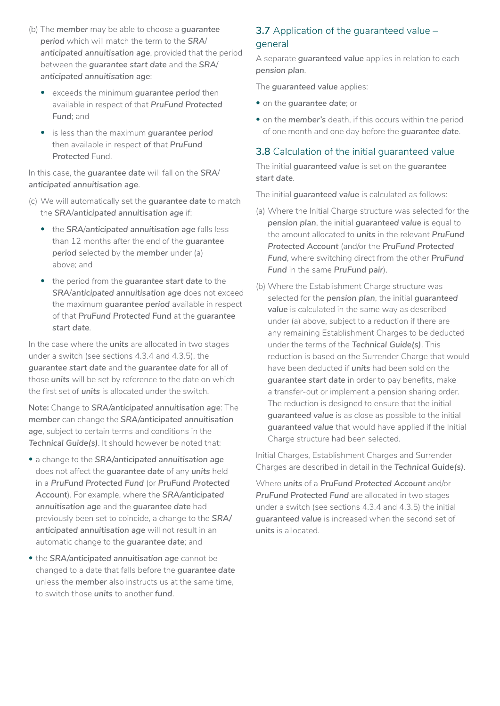- (b) The *member* may be able to choose a *guarantee period* which will match the term to the *SRA*/ *anticipated annuitisation age*, provided that the period between the *guarantee start date* and the *SRA*/ *anticipated annuitisation age*:
	- exceeds the minimum *guarantee period* then available in respect of that *PruFund Protected Fund*; and
	- is less than the maximum *guarantee period*  then available in respect *of* that *PruFund*  **Protected** Fund.

In this case, the *guarantee date* will fall on the *SRA*/ *anticipated annuitisation age*.

- (c) We will automatically set the *guarantee date* to match the *SRA*/*anticipated annuitisation age* if:
	- the *SRA*/*anticipated annuitisation age* falls less than 12 months after the end of the *guarantee period* selected by the *member* under (a) above; and
	- the period from the *guarantee start date* to the *SRA*/*anticipated annuitisation age* does not exceed the maximum *guarantee period* available in respect of that *PruFund Protected Fund* at the *guarantee start date*.

In the case where the *units* are allocated in two stages under a switch (see sections 4.3.4 and 4.3.5), the *guarantee start date* and the *guarantee date* for all of those *units* will be set by reference to the date on which the first set of *units* is allocated under the switch.

**Note:** Change to *SRA/anticipated annuitisation age*: The *member* can change the *SRA/anticipated annuitisation age*, subject to certain terms and conditions in the *Technical Guide(s)*. It should however be noted that:

- a change to the *SRA/anticipated annuitisation age*  does not affect the *guarantee date* of any *units* held in a *PruFund Protected Fund* (or *PruFund Protected Account*). For example, where the *SRA/anticipated annuitisation age* and the *guarantee date* had previously been set to coincide, a change to the *SRA/ anticipated annuitisation age* will not result in an automatic change to the *guarantee date*; and
- the *SRA/anticipated annuitisation age* cannot be changed to a date that falls before the *guarantee date*  unless the *member* also instructs us at the same time, to switch those *units* to another *fund*.

## **3.7** Application of the guaranteed value – general

A separate *guaranteed value* applies in relation to each *pension plan*.

The *guaranteed value* applies:

- on the *guarantee date*; or
- on the *member's* death, if this occurs within the period of one month and one day before the *guarantee date*.

## **3.8** Calculation of the initial guaranteed value

The initial *guaranteed value* is set on the *guarantee start date*.

The initial *guaranteed value* is calculated as follows:

- (a) Where the Initial Charge structure was selected for the *pension plan*, the initial *guaranteed value* is equal to the amount allocated to *units* in the relevant *PruFund Protected Account* (and/or the *PruFund Protected Fund*, where switching direct from the other *PruFund Fund* in the same *PruFund pair*).
- (b) Where the Establishment Charge structure was selected for the *pension plan*, the initial *guaranteed value* is calculated in the same way as described under (a) above, subject to a reduction if there are any remaining Establishment Charges to be deducted under the terms of the *Technical Guide(s)*. This reduction is based on the Surrender Charge that would have been deducted if *units* had been sold on the *guarantee start date* in order to pay benefits, make a transfer-out or implement a pension sharing order. The reduction is designed to ensure that the initial *guaranteed value* is as close as possible to the initial *guaranteed value* that would have applied if the Initial Charge structure had been selected.

Initial Charges, Establishment Charges and Surrender Charges are described in detail in the *Technical Guide(s)*.

Where *units* of a *PruFund Protected Account* and/or *PruFund Protected Fund* are allocated in two stages under a switch (see sections 4.3.4 and 4.3.5) the initial *guaranteed value* is increased when the second set of *units* is allocated.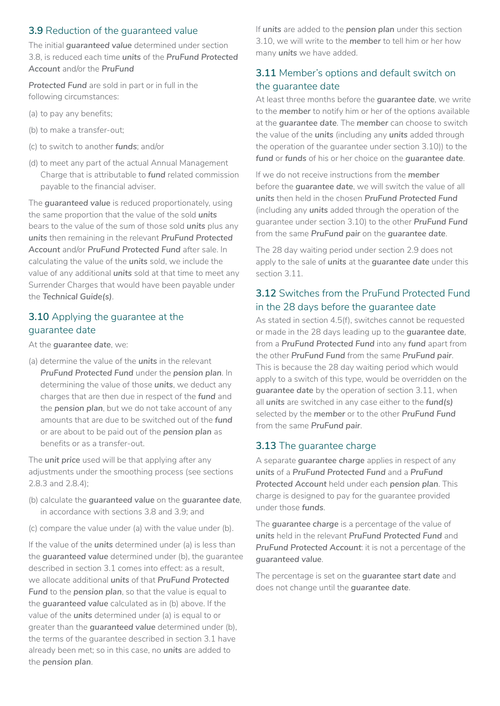### **3.9** Reduction of the guaranteed value

The initial *guaranteed value* determined under section 3.8, is reduced each time *units* of the *PruFund Protected Account* and/or the *PruFund*

*Protected Fund* are sold in part or in full in the following circumstances:

- (a) to pay any benefits;
- (b) to make a transfer-out;
- (c) to switch to another *funds*; and/or
- (d) to meet any part of the actual Annual Management Charge that is attributable to *fund* related commission payable to the financial adviser.

The *guaranteed value* is reduced proportionately, using the same proportion that the value of the sold *units*  bears to the value of the sum of those sold *units* plus any *units* then remaining in the relevant *PruFund Protected Account* and/or *PruFund Protected Fund* after sale. In calculating the value of the *units* sold, we include the value of any additional *units* sold at that time to meet any Surrender Charges that would have been payable under the *Technical Guide(s)*.

## **3.10** Applying the guarantee at the guarantee date

At the *guarantee date*, we:

(a) determine the value of the *units* in the relevant *PruFund Protected Fund* under the *pension plan*. In determining the value of those *units*, we deduct any charges that are then due in respect of the *fund* and the *pension plan*, but we do not take account of any amounts that are due to be switched out of the *fund*  or are about to be paid out of the *pension plan* as benefits or as a transfer-out.

The *unit price* used will be that applying after any adjustments under the smoothing process (see sections 2.8.3 and 2.8.4);

- (b) calculate the *guaranteed value* on the *guarantee date*, in accordance with sections 3.8 and 3.9; and
- (c) compare the value under (a) with the value under (b).

If the value of the *units* determined under (a) is less than the *guaranteed value* determined under (b), the guarantee described in section 3.1 comes into effect: as a result, we allocate additional *units* of that *PruFund Protected Fund* to the *pension plan*, so that the value is equal to the *guaranteed value* calculated as in (b) above. If the value of the *units* determined under (a) is equal to or greater than the *guaranteed value* determined under (b), the terms of the guarantee described in section 3.1 have already been met; so in this case, no *units* are added to the *pension plan*.

If *units* are added to the *pension plan* under this section 3.10, we will write to the *member* to tell him or her how many *units* we have added.

## **3.11** Member's options and default switch on the guarantee date

At least three months before the *guarantee date*, we write to the *member* to notify him or her of the options available at the *guarantee date*. The *member* can choose to switch the value of the *units* (including any *units* added through the operation of the guarantee under section 3.10)) to the *fund* or *funds* of his or her choice on the *guarantee date*.

If we do not receive instructions from the *member*  before the *guarantee date*, we will switch the value of all *units* then held in the chosen *PruFund Protected Fund*  (including any *units* added through the operation of the guarantee under section 3.10) to the other *PruFund Fund*  from the same *PruFund pair* on the *guarantee date*.

The 28 day waiting period under section 2.9 does not apply to the sale of *units* at the *guarantee date* under this section 3.11.

## **3.12** Switches from the PruFund Protected Fund in the 28 days before the guarantee date

As stated in section 4.5(f), switches cannot be requested or made in the 28 days leading up to the *guarantee date*, from a *PruFund Protected Fund* into any *fund* apart from the other *PruFund Fund* from the same *PruFund pair*. This is because the 28 day waiting period which would apply to a switch of this type, would be overridden on the *guarantee date* by the operation of section 3.11, when all *units* are switched in any case either to the *fund(s)*  selected by the *member* or to the other *PruFund Fund*  from the same *PruFund pair*.

## **3.13** The guarantee charge

A separate *guarantee charge* applies in respect of any *units* of a *PruFund Protected Fund* and a *PruFund Protected Account* held under each *pension plan*. This charge is designed to pay for the guarantee provided under those *funds*.

The *guarantee charge* is a percentage of the value of *units* held in the relevant *PruFund Protected Fund* and *PruFund Protected Account*: it is not a percentage of the *guaranteed value*.

The percentage is set on the *guarantee start date* and does not change until the *guarantee date*.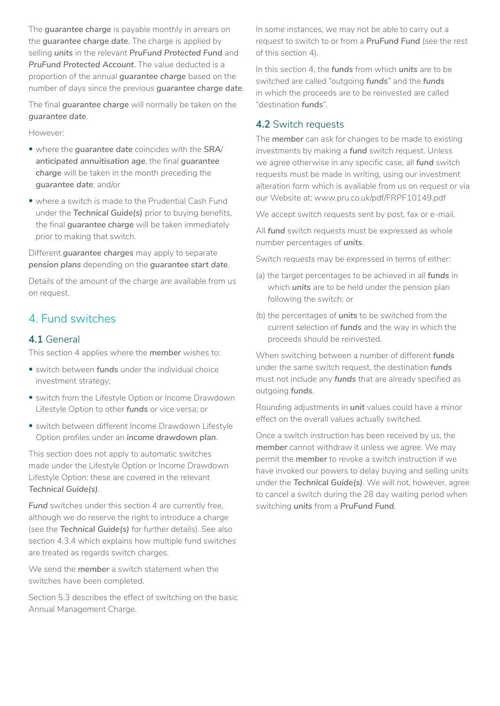The *guarantee charge* is payable monthly in arrears on the *guarantee charge date*. The charge is applied by selling *units* in the relevant *PruFund Protected Fund* and *PruFund Protected Account*. The value deducted is a proportion of the annual *guarantee charge* based on the number of days since the previous *guarantee charge date*.

The final *guarantee charge* will normally be taken on the *guarantee date*.

However:

- where the *guarantee date* coincides with the *SRA*/ *anticipated annuitisation age*, the final *guarantee charge* will be taken in the month preceding the *guarantee date*; and/or
- where a switch is made to the Prudential Cash Fund under the *Technical Guide(s)* prior to buying benefits, the final *guarantee charge* will be taken immediately prior to making that switch.

Different *guarantee charges* may apply to separate *pension plans* depending on the *guarantee start date*.

Details of the amount of the charge are available from us on request.

## 4. Fund switches

### **4.1** General

This section 4 applies where the *member* wishes to:

- switch between *funds* under the individual choice investment strategy;
- switch from the Lifestyle Option or Income Drawdown Lifestyle Option to other *funds* or vice versa; or
- switch between different Income Drawdown Lifestyle Option profiles under an *income drawdown plan*.

This section does not apply to automatic switches made under the Lifestyle Option or Income Drawdown Lifestyle Option: these are covered in the relevant *Technical Guide(s)*.

**Fund** switches under this section 4 are currently free, although we do reserve the right to introduce a charge (see the *Technical Guide(s)* for further details). See also section 4.3.4 which explains how multiple fund switches are treated as regards switch charges.

We send the *member* a switch statement when the switches have been completed.

Section 5.3 describes the effect of switching on the basic Annual Management Charge.

In some instances, we may not be able to carry out a request to switch to or from a *PruFund Fund* (see the rest of this section 4).

In this section 4, the *funds* from which *units* are to be switched are called "outgoing *funds*" and the *funds*  in which the proceeds are to be reinvested are called "destination *funds*".

### **4.2** Switch requests

The *member* can ask for changes to be made to existing investments by making a *fund* switch request. Unless we agree otherwise in any specific case, all *fund* switch requests must be made in writing, using our investment alteration form which is available from us on request or via our Website at: www.pru.co.uk/pdf/FRPF10149.pdf

We accept switch requests sent by post, fax or e-mail.

All *fund* switch requests must be expressed as whole number percentages of *units*.

Switch requests may be expressed in terms of either:

- (a) the target percentages to be achieved in all *funds* in which *units* are to be held under the pension plan following the switch; or
- (b) the percentages of *units* to be switched from the current selection of *funds* and the way in which the proceeds should be reinvested.

When switching between a number of different *funds*  under the same switch request, the destination *funds*  must not include any *funds* that are already specified as outgoing *funds*.

Rounding adjustments in *unit* values could have a minor effect on the overall values actually switched.

Once a switch instruction has been received by us, the *member* cannot withdraw it unless we agree. We may permit the *member* to revoke a switch instruction if we have invoked our powers to delay buying and selling units under the *Technical Guide(s)*. We will not, however, agree to cancel a switch during the 28 day waiting period when switching *units* from a *PruFund Fund*.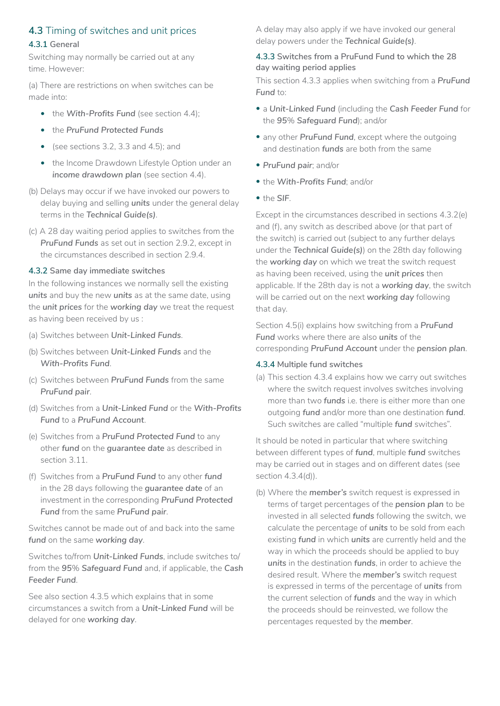## **4.3** Timing of switches and unit prices

#### **4.3.1 General**

Switching may normally be carried out at any time. However:

(a) There are restrictions on when switches can be made into:

- the With-Profits Fund (see section 4.4);
- the *PruFund Protected Funds*
- (see sections 3.2, 3.3 and 4.5); and
- the Income Drawdown Lifestyle Option under an *income drawdown plan (see section 4.4).*
- (b) Delays may occur if we have invoked our powers to delay buying and selling *units* under the general delay terms in the *Technical Guide(s)*.
- (c) A 28 day waiting period applies to switches from the *PruFund Funds* as set out in section 2.9.2, except in the circumstances described in section 2.9.4.

#### **4.3.2 Same day immediate switches**

In the following instances we normally sell the existing *units* and buy the new *units* as at the same date, using the *unit prices* for the *working day* we treat the request as having been received by us :

- (a) Switches between *Unit-Linked Funds*.
- (b) Switches between *Unit-Linked Funds* and the *With-Profits Fund*.
- (c) Switches between *PruFund Funds* from the same *PruFund pair*.
- (d) Switches from a *Unit-Linked Fund* or the *With-Profits Fund* to a *PruFund Account*.
- (e) Switches from a *PruFund Protected Fund* to any other *fund* on the *guarantee date* as described in section 3.11.
- (f) Switches from a *PruFund Fund* to any other *fund*  in the 28 days following the *guarantee date* of an investment in the corresponding *PruFund Protected Fund* from the same *PruFund pair*.

Switches cannot be made out of and back into the same *fund* on the same *working day*.

Switches to/from *Unit-Linked Funds*, include switches to/ from the *95*% *Safeguard Fund* and, if applicable, the *Cash Feeder Fund*.

See also section 4.3.5 which explains that in some circumstances a switch from a *Unit-Linked Fund* will be delayed for one *working day*.

A delay may also apply if we have invoked our general delay powers under the *Technical Guide(s)*.

#### **4.3.3 Switches from a PruFund Fund to which the 28 day waiting period applies**

This section 4.3.3 applies when switching from a *PruFund*  **Fund** to:

- a *Unit-Linked Fund* (including the *Cash Feeder Fund* for the *95*% *Safeguard Fund*); and/or
- any other *PruFund Fund*, except where the outgoing and destination *funds* are both from the same
- *PruFund pair*; and/or
- the *With-Profits Fund*; and/or
- the *SIF*.

Except in the circumstances described in sections 4.3.2(e) and (f), any switch as described above (or that part of the switch) is carried out (subject to any further delays under the *Technical Guide(s)*) on the 28th day following the *working day* on which we treat the switch request as having been received, using the *unit prices* then applicable. If the 28th day is not a *working day*, the switch will be carried out on the next *working day* following that day.

Section 4.5(i) explains how switching from a *PruFund Fund* works where there are also *units* of the corresponding *PruFund Account* under the *pension plan*.

#### **4.3.4 Multiple fund switches**

(a) This section 4.3.4 explains how we carry out switches where the switch request involves switches involving more than two *funds* i.e. there is either more than one outgoing *fund* and/or more than one destination *fund*. Such switches are called "multiple *fund* switches".

It should be noted in particular that where switching between different types of *fund*, multiple *fund* switches may be carried out in stages and on different dates (see section 4.3.4(d)).

(b) Where the *member's* switch request is expressed in terms of target percentages of the *pension plan* to be invested in all selected *funds* following the switch, we calculate the percentage of *units* to be sold from each existing *fund* in which *units* are currently held and the way in which the proceeds should be applied to buy *units* in the destination *funds*, in order to achieve the desired result. Where the *member's* switch request is expressed in terms of the percentage of *units* from the current selection of *funds* and the way in which the proceeds should be reinvested, we follow the percentages requested by the *member*.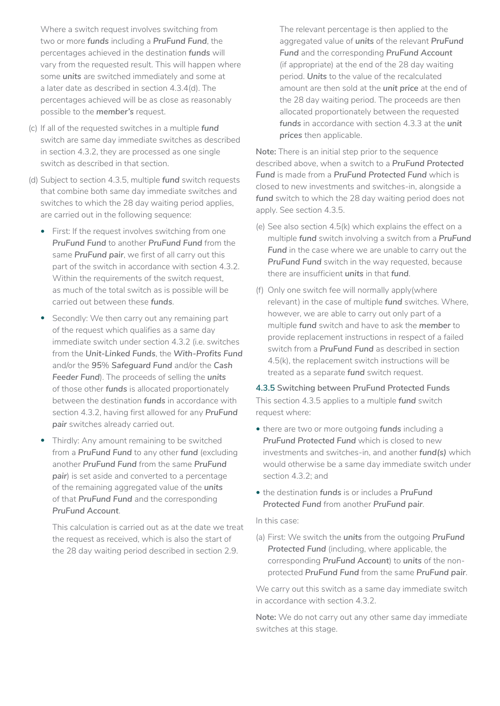Where a switch request involves switching from two or more *funds* including a *PruFund Fund*, the percentages achieved in the destination *funds* will vary from the requested result. This will happen where some *units* are switched immediately and some at a later date as described in section 4.3.4(d). The percentages achieved will be as close as reasonably possible to the *member's* request.

- (c) If all of the requested switches in a multiple *fund*  switch are same day immediate switches as described in section 4.3.2, they are processed as one single switch as described in that section.
- (d) Subject to section 4.3.5, multiple *fund* switch requests that combine both same day immediate switches and switches to which the 28 day waiting period applies, are carried out in the following sequence:
	- First: If the request involves switching from one *PruFund Fund* to another *PruFund Fund* from the same *PruFund pair*, we first of all carry out this part of the switch in accordance with section 4.3.2. Within the requirements of the switch request. as much of the total switch as is possible will be carried out between these *funds*.
	- Secondly: We then carry out any remaining part of the request which qualifies as a same day immediate switch under section 4.3.2 (i.e. switches from the *Unit-Linked Funds*, the *With-Profits Fund*  and/or the *95*% *Safeguard Fund* and/or the *Cash Feeder Fund*). The proceeds of selling the *units*  of those other *funds* is allocated proportionately between the destination *funds* in accordance with section 4.3.2, having first allowed for any *PruFund pair* switches already carried out.
	- Thirdly: Any amount remaining to be switched from a *PruFund Fund* to any other *fund* (excluding another *PruFund Fund* from the same *PruFund pair*) is set aside and converted to a percentage of the remaining aggregated value of the *units*  of that *PruFund Fund* and the corresponding *PruFund Account*.

This calculation is carried out as at the date we treat the request as received, which is also the start of the 28 day waiting period described in section 2.9.

The relevant percentage is then applied to the aggregated value of *units* of the relevant *PruFund Fund* and the corresponding *PruFund Account*  (if appropriate) at the end of the 28 day waiting period. *Units* to the value of the recalculated amount are then sold at the *unit price* at the end of the 28 day waiting period. The proceeds are then allocated proportionately between the requested *funds* in accordance with section 4.3.3 at the *unit prices* then applicable.

**Note:** There is an initial step prior to the sequence described above, when a switch to a *PruFund Protected Fund* is made from a *PruFund Protected Fund* which is closed to new investments and switches-in, alongside a *fund* switch to which the 28 day waiting period does not apply. See section 4.3.5.

- (e) See also section 4.5(k) which explains the effect on a multiple *fund* switch involving a switch from a *PruFund*  Fund in the case where we are unable to carry out the *PruFund Fund* switch in the way requested, because there are insufficient *units* in that *fund*.
- (f) Only one switch fee will normally apply(where relevant) in the case of multiple *fund* switches. Where, however, we are able to carry out only part of a multiple *fund* switch and have to ask the *member* to provide replacement instructions in respect of a failed switch from a *PruFund Fund* as described in section 4.5(k), the replacement switch instructions will be treated as a separate *fund* switch request.

**4.3.5 Switching between PruFund Protected Funds** This section 4.3.5 applies to a multiple *fund* switch request where:

- there are two or more outgoing *funds* including a *PruFund Protected Fund* which is closed to new investments and switches-in, and another *fund(s)* which would otherwise be a same day immediate switch under section 4.3.2; and
- the destination *funds* is or includes a *PruFund Protected Fund* from another *PruFund pair*.

#### In this case:

(a) First: We switch the *units* from the outgoing *PruFund Protected Fund* (including, where applicable, the corresponding *PruFund Account*) to *units* of the nonprotected *PruFund Fund* from the same *PruFund pair*.

We carry out this switch as a same day immediate switch in accordance with section 4.3.2.

**Note:** We do not carry out any other same day immediate switches at this stage.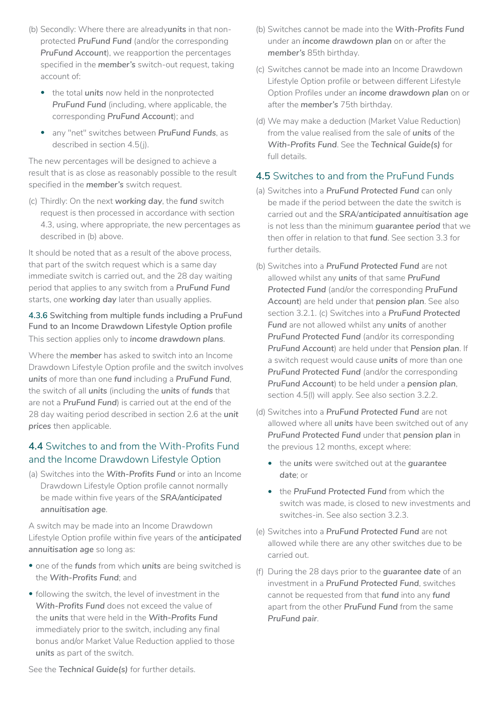- (b) Secondly: Where there are already*units* in that nonprotected *PruFund Fund* (and/or the corresponding *PruFund Account*), we reapportion the percentages specified in the *member's* switch-out request, taking account of:
	- the total *units* now held in the nonprotected *PruFund Fund* (including, where applicable, the corresponding *PruFund Account*); and
	- any "net" switches between *PruFund Funds*, as described in section 4.5(j).

The new percentages will be designed to achieve a result that is as close as reasonably possible to the result specified in the *member's* switch request.

(c) Thirdly: On the next *working day*, the *fund* switch request is then processed in accordance with section 4.3, using, where appropriate, the new percentages as described in (b) above.

It should be noted that as a result of the above process, that part of the switch request which is a same day immediate switch is carried out, and the 28 day waiting period that applies to any switch from a *PruFund Fund*  starts, one *working day* later than usually applies.

### **4.3.6 Switching from multiple funds including a PruFund Fund to an Income Drawdown Lifestyle Option profile** This section applies only to *income drawdown plans*.

Where the *member* has asked to switch into an Income Drawdown Lifestyle Option profile and the switch involves *units* of more than one *fund* including a *PruFund Fund*, the switch of all *units* (including the *units* of *funds* that are not a *PruFund Fund*) is carried out at the end of the 28 day waiting period described in section 2.6 at the *unit prices* then applicable.

## **4.4** Switches to and from the With-Profits Fund and the Income Drawdown Lifestyle Option

(a) Switches into the *With-Profits Fund* or into an Income Drawdown Lifestyle Option profile cannot normally be made within five years of the *SRA/anticipated annuitisation age*.

A switch may be made into an Income Drawdown Lifestyle Option profile within five years of the *anticipated annuitisation age* so long as:

- one of the *funds* from which *units* are being switched is the *With-Profits Fund*; and
- following the switch, the level of investment in the *With-Profits Fund* does not exceed the value of the *units* that were held in the *With-Profits Fund*  immediately prior to the switch, including any final bonus and/or Market Value Reduction applied to those *units* as part of the switch.
- (b) Switches cannot be made into the *With-Profits Fund*  under an *income drawdown plan* on or after the *member's* 85th birthday.
- (c) Switches cannot be made into an Income Drawdown Lifestyle Option profile or between different Lifestyle Option Profiles under an *income drawdown plan* on or after the *member's* 75th birthday.
- (d) We may make a deduction (Market Value Reduction) from the value realised from the sale of *units* of the *With-Profits Fund*. See the *Technical Guide(s)* for full details.

### **4.5** Switches to and from the PruFund Funds

- (a) Switches into a *PruFund Protected Fund* can only be made if the period between the date the switch is carried out and the *SRA*/*anticipated annuitisation age*  is not less than the minimum *guarantee period* that we then offer in relation to that *fund*. See section 3.3 for further details.
- (b) Switches into a *PruFund Protected Fund* are not allowed whilst any *units* of that same *PruFund Protected Fund* (and/or the corresponding *PruFund Account*) are held under that *pension plan*. See also section 3.2.1. (c) Switches into a *PruFund Protected Fund* are not allowed whilst any *units* of another *PruFund Protected Fund* (and/or its corresponding *PruFund Account*) are held under that *Pension plan*. If a switch request would cause *units* of more than one *PruFund Protected Fund* (and/or the corresponding *PruFund Account*) to be held under a *pension plan*, section 4.5(l) will apply. See also section 3.2.2.
- (d) Switches into a *PruFund Protected Fund* are not allowed where all *units* have been switched out of any *PruFund Protected Fund* under that *pension plan* in the previous 12 months, except where:
	- the *units* were switched out at the *guarantee date*; or
	- the *PruFund Protected Fund* from which the switch was made, is closed to new investments and switches-in. See also section 3.2.3.
- (e) Switches into a *PruFund Protected Fund* are not allowed while there are any other switches due to be carried out.
- (f) During the 28 days prior to the *guarantee date* of an investment in a *PruFund Protected Fund*, switches cannot be requested from that *fund* into any *fund*  apart from the other *PruFund Fund* from the same *PruFund pair*.

See the *Technical Guide(s)* for further details.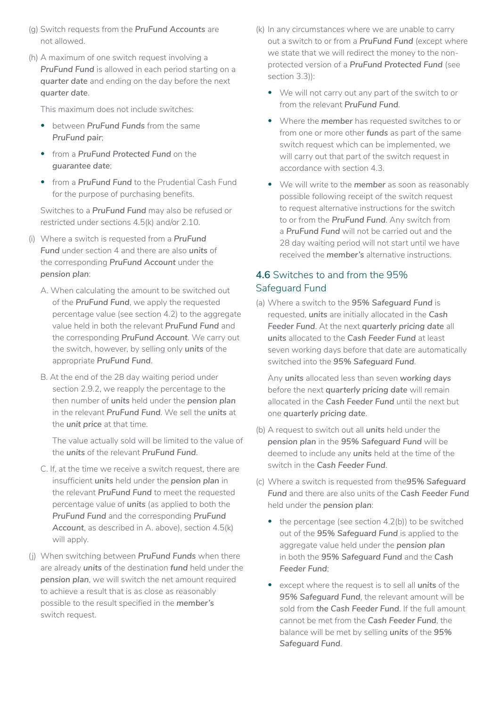- (g) Switch requests from the *PruFund Accounts* are not allowed.
- (h) A maximum of one switch request involving a *PruFund Fund* is allowed in each period starting on a *quarter date* and ending on the day before the next *quarter date*.

This maximum does not include switches:

- between *PruFund Funds* from the same *PruFund pair*;
- from a *PruFund Protected Fund* on the *guarantee date*;
- from a *PruFund Fund* to the Prudential Cash Fund for the purpose of purchasing benefits.

Switches to a *PruFund Fund* may also be refused or restricted under sections 4.5(k) and/or 2.10.

- (i) Where a switch is requested from a *PruFund Fund* under section 4 and there are also *units* of the corresponding *PruFund Account* under the *pension plan*:
	- A. When calculating the amount to be switched out of the *PruFund Fund*, we apply the requested percentage value (see section 4.2) to the aggregate value held in both the relevant *PruFund Fund* and the corresponding *PruFund Account*. We carry out the switch, however, by selling only *units* of the appropriate *PruFund Fund*.
	- B. At the end of the 28 day waiting period under section 2.9.2, we reapply the percentage to the then number of *units* held under the *pension plan*  in the relevant *PruFund Fund*. We sell the *units* at the *unit price* at that time.

The value actually sold will be limited to the value of the *units* of the relevant *PruFund Fund*.

- C. If, at the time we receive a switch request, there are insufficient *units* held under the *pension plan* in the relevant *PruFund Fund* to meet the requested percentage value of *units* (as applied to both the *PruFund Fund* and the corresponding *PruFund Account*, as described in A. above), section 4.5(k) will apply.
- (j) When switching between *PruFund Funds* when there are already *units* of the destination *fund* held under the *pension plan*, we will switch the net amount required to achieve a result that is as close as reasonably possible to the result specified in the *member's*  switch request.
- (k) In any circumstances where we are unable to carry out a switch to or from a *PruFund Fund* (except where we state that we will redirect the money to the nonprotected version of a *PruFund Protected Fund* (see section 3.3)):
	- We will not carry out any part of the switch to or from the relevant *PruFund Fund*.
	- Where the *member* has requested switches to or from one or more other *funds* as part of the same switch request which can be implemented, we will carry out that part of the switch request in accordance with section 4.3.
	- We will write to the *member* as soon as reasonably possible following receipt of the switch request to request alternative instructions for the switch to or from the *PruFund Fund*. Any switch from a *PruFund Fund* will not be carried out and the 28 day waiting period will not start until we have received the *member's* alternative instructions.

## **4.6** Switches to and from the 95% Safeguard Fund

(a) Where a switch to the *95% Safeguard Fund* is requested, *units* are initially allocated in the *Cash Feeder Fund*. At the next *quarterly pricing date* all *units* allocated to the *Cash Feeder Fund* at least seven working days before that date are automatically switched into the *95% Safeguard Fund*.

Any *units* allocated less than seven *working days*  before the next *quarterly pricing date* will remain allocated in the *Cash Feeder Fund* until the next but one *quarterly pricing date*.

- (b) A request to switch out all *units* held under the *pension plan* in the *95% Safeguard Fund* will be deemed to include any *units* held at the time of the switch in the *Cash Feeder Fund*.
- (c) Where a switch is requested from the*95% Safeguard Fund* and there are also units of the *Cash Feeder Fund*  held under the *pension plan*:
	- the percentage (see section 4.2(b)) to be switched out of the *95% Safeguard Fund* is applied to the aggregate value held under the *pension plan*  in both the *95% Safeguard Fund* and the *Cash Feeder Fund*;
	- except where the request is to sell all *units* of the *95% Safeguard Fund*, the relevant amount will be sold from *the Cash Feeder Fund*. If the full amount cannot be met from the *Cash Feeder Fund*, the balance will be met by selling *units* of the *95% Safeguard Fund*.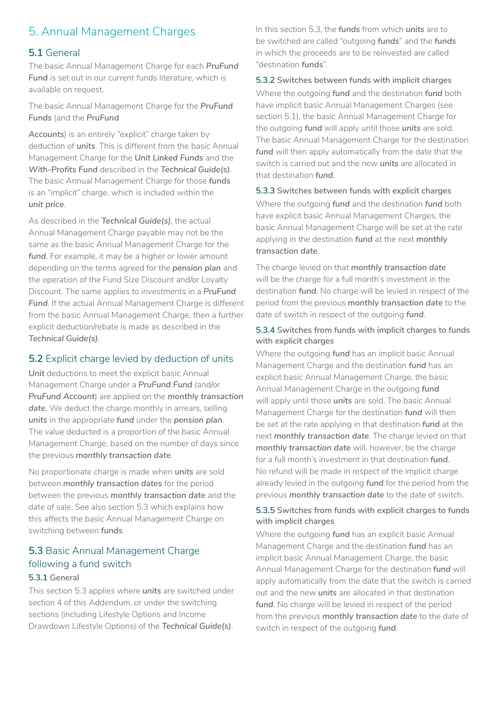## 5. Annual Management Charges

### **5.1** General

The basic Annual Management Charge for each *PruFund*  Fund is set out in our current funds literature, which is available on request.

The basic Annual Management Charge for the *PruFund Funds* (and the *PruFund*

*Accounts*) is an entirely "explicit" charge taken by deduction of *units*. This is different from the basic Annual Management Charge for the *Unit Linked Funds* and the *With-Profits Fund* described in the *Technical Guide(s)*. The basic Annual Management Charge for those *funds*  is an "implicit" charge, which is included within the *unit price*.

As described in the *Technical Guide(s)*, the actual Annual Management Charge payable may not be the same as the basic Annual Management Charge for the *fund*. For example, it may be a higher or lower amount depending on the terms agreed for the *pension plan* and the operation of the Fund Size Discount and/or Loyalty Discount. The same applies to investments in a *PruFund Fund*. If the actual Annual Management Charge is different from the basic Annual Management Charge, then a further explicit deduction/rebate is made as described in the *Technical Guide(s)*.

#### **5.2** Explicit charge levied by deduction of units

Unit deductions to meet the explicit basic Annual Management Charge under a *PruFund Fund* (and/or *PruFund Account*) are applied on the *monthly transaction date*. We deduct the charge monthly in arrears, selling *units* in the appropriate *fund* under the *pension plan*. The value deducted is a proportion of the basic Annual Management Charge, based on the number of days since the previous *monthly transaction date*.

No proportionate charge is made when *units* are sold between *monthly transaction dates* for the period between the previous *monthly transaction date* and the date of sale. See also section 5.3 which explains how this affects the basic Annual Management Charge on switching between *funds*.

## **5.3** Basic Annual Management Charge following a fund switch

#### **5.3.1 General**

This section 5.3 applies where *units* are switched under section 4 of this Addendum, or under the switching sections (including Lifestyle Options and Income Drawdown Lifestyle Options) of the *Technical Guide(s)*. In this section 5.3, the *funds* from which *units* are to be switched are called "outgoing *funds*" and the *funds*  in which the proceeds are to be reinvested are called "destination *funds*".

#### **5.3.2 Switches between funds with implicit charges**

Where the outgoing *fund* and the destination *fund* both have implicit basic Annual Management Charges (see section 5.1), the basic Annual Management Charge for the outgoing *fund* will apply until those *units* are sold. The basic Annual Management Charge for the destination *fund* will then apply automatically from the date that the switch is carried out and the new *units* are allocated in that destination *fund*.

**5.3.3 Switches between funds with explicit charges** Where the outgoing *fund* and the destination *fund* both have explicit basic Annual Management Charges, the basic Annual Management Charge will be set at the rate applying in the destination *fund* at the next *monthly transaction date*.

The charge levied on that *monthly transaction date*  will be the charge for a full month's investment in the destination *fund*. No charge will be levied in respect of the period from the previous *monthly transaction date* to the date of switch in respect of the outgoing *fund*.

#### **5.3.4 Switches from funds with implicit charges to funds with explicit charges**

Where the outgoing *fund* has an implicit basic Annual Management Charge and the destination *fund* has an explicit basic Annual Management Charge, the basic Annual Management Charge in the outgoing *fund*  will apply until those *units* are sold. The basic Annual Management Charge for the destination *fund* will then be set at the rate applying in that destination *fund* at the next *monthly transaction date*. The charge levied on that *monthly transaction date* will, however, be the charge for a full month's investment in that destination *fund*. No refund will be made in respect of the implicit charge already levied in the outgoing *fund* for the period from the previous *monthly transaction date* to the date of switch.

#### **5.3.5 Switches from funds with explicit charges to funds with implicit charges**

Where the outgoing *fund* has an explicit basic Annual Management Charge and the destination *fund* has an implicit basic Annual Management Charge, the basic Annual Management Charge for the destination *fund* will apply automatically from the date that the switch is carried out and the new *units* are allocated in that destination fund. No charge will be levied in respect of the period from the previous *monthly transaction date* to the date of switch in respect of the outgoing *fund*.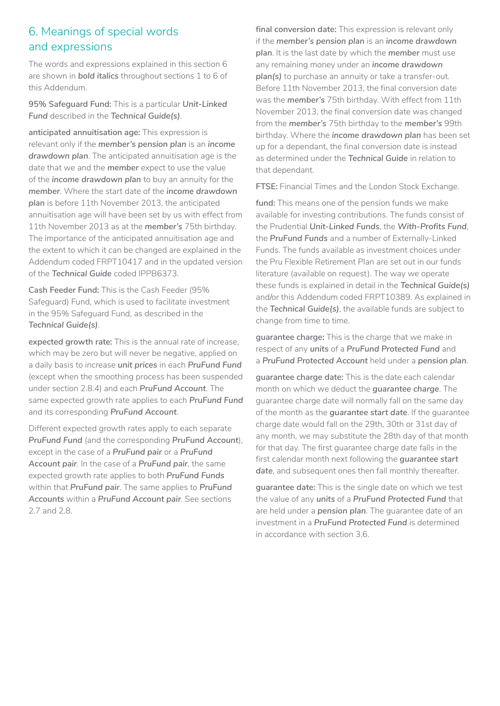## 6. Meanings of special words and expressions

The words and expressions explained in this section 6 are shown in *bold italics* throughout sections 1 to 6 of this Addendum.

**95% Safeguard Fund:** This is a particular *Unit-Linked Fund* described in the *Technical Guide(s)*.

**anticipated annuitisation age:** This expression is relevant only if the *member's pension plan* is an *income drawdown plan*. The anticipated annuitisation age is the date that we and the *member* expect to use the value of the *income drawdown plan* to buy an annuity for the *member*. Where the start date of the *income drawdown plan* is before 11th November 2013, the anticipated annuitisation age will have been set by us with effect from 11th November 2013 as at the *member's* 75th birthday. The importance of the anticipated annuitisation age and the extent to which it can be changed are explained in the Addendum coded FRPT10417 and in the updated version of the *Technical Guide* coded IPPB6373.

**Cash Feeder Fund:** This is the Cash Feeder (95% Safeguard) Fund, which is used to facilitate investment in the 95% Safeguard Fund, as described in the *Technical Guide(s)*.

**expected growth rate:** This is the annual rate of increase, which may be zero but will never be negative, applied on a daily basis to increase *unit prices* in each *PruFund Fund*  (except when the smoothing process has been suspended under section 2.8.4) and each *PruFund Account*. The same expected growth rate applies to each *PruFund Fund*  and its corresponding *PruFund Account*.

Different expected growth rates apply to each separate *PruFund Fund* (and the corresponding *PruFund Account*), except in the case of a *PruFund pair* or a *PruFund Account pair*. In the case of a *PruFund pair*, the same expected growth rate applies to both *PruFund Funds*  within that *PruFund pair*. The same applies to *PruFund Accounts* within a *PruFund Account pair*. See sections 2.7 and 2.8.

**final conversion date:** This expression is relevant only if the *member's pension plan* is an *income drawdown plan*. It is the last date by which the *member* must use any remaining money under an *income drawdown plan(s)* to purchase an annuity or take a transfer-out. Before 11th November 2013, the final conversion date was the *member's* 75th birthday. With effect from 11th November 2013, the final conversion date was changed from the *member's* 75th birthday to the *member's* 99th birthday. Where the *income drawdown plan* has been set up for a dependant, the final conversion date is instead as determined under the *Technical Guide* in relation to that dependant.

**FTSE:** Financial Times and the London Stock Exchange.

**fund:** This means one of the pension funds we make available for investing contributions. The funds consist of the Prudential *Unit-Linked Funds*, the *With-Profits Fund*, the *PruFund Funds* and a number of Externally-Linked Funds. The funds available as investment choices under the Pru Flexible Retirement Plan are set out in our funds literature (available on request). The way we operate these funds is explained in detail in the *Technical Guide(s)*  and/or this Addendum coded FRPT10389. As explained in the *Technical Guide(s)*, the available funds are subject to change from time to time.

**guarantee charge:** This is the charge that we make in respect of any *units* of a *PruFund Protected Fund* and a *PruFund Protected Account* held under a *pension plan*.

**guarantee charge date:** This is the date each calendar month on which we deduct the *guarantee charge*. The guarantee charge date will normally fall on the same day of the month as the *guarantee start date*. If the guarantee charge date would fall on the 29th, 30th or 31st day of any month, we may substitute the 28th day of that month for that day. The first guarantee charge date falls in the first calendar month next following the *guarantee start date*, and subsequent ones then fall monthly thereafter.

**guarantee date:** This is the single date on which we test the value of any *units* of a *PruFund Protected Fund* that are held under a *pension plan*. The guarantee date of an investment in a *PruFund Protected Fund* is determined in accordance with section 3.6.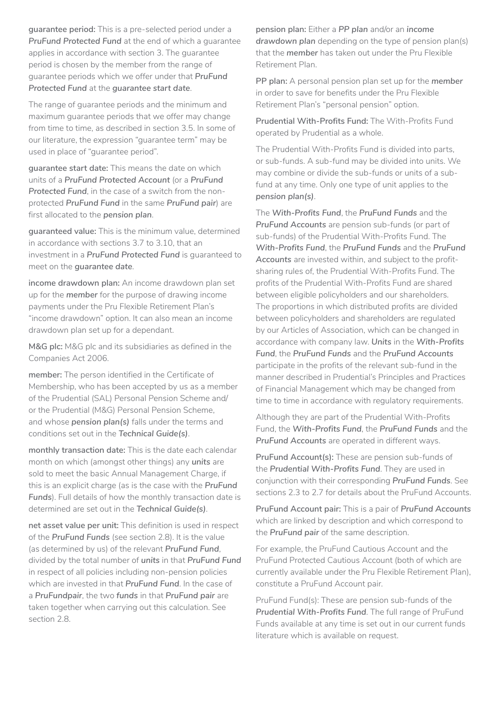**guarantee period:** This is a pre-selected period under a *PruFund Protected Fund* at the end of which a guarantee applies in accordance with section 3. The guarantee period is chosen by the member from the range of guarantee periods which we offer under that *PruFund Protected Fund* at the *guarantee start date*.

The range of guarantee periods and the minimum and maximum guarantee periods that we offer may change from time to time, as described in section 3.5. In some of our literature, the expression "guarantee term" may be used in place of "guarantee period".

**guarantee start date:** This means the date on which units of a *PruFund Protected Account* (or a *PruFund Protected Fund*, in the case of a switch from the nonprotected *PruFund Fund* in the same *PruFund pair*) are first allocated to the *pension plan*.

**guaranteed value:** This is the minimum value, determined in accordance with sections 3.7 to 3.10, that an investment in a *PruFund Protected Fund* is guaranteed to meet on the *guarantee date*.

**income drawdown plan:** An income drawdown plan set up for the *member* for the purpose of drawing income payments under the Pru Flexible Retirement Plan's "income drawdown" option. It can also mean an income drawdown plan set up for a dependant.

**M&G plc:** M&G plc and its subsidiaries as defined in the Companies Act 2006.

**member:** The person identified in the Certificate of Membership, who has been accepted by us as a member of the Prudential (SAL) Personal Pension Scheme and/ or the Prudential (M&G) Personal Pension Scheme, and whose *pension plan(s)* falls under the terms and conditions set out in the *Technical Guide(s)*.

**monthly transaction date:** This is the date each calendar month on which (amongst other things) any *units* are sold to meet the basic Annual Management Charge, if this is an explicit charge (as is the case with the *PruFund Funds*). Full details of how the monthly transaction date is determined are set out in the *Technical Guide(s)*.

**net asset value per unit:** This definition is used in respect of the *PruFund Funds* (see section 2.8). It is the value (as determined by us) of the relevant *PruFund Fund*, divided by the total number of *units* in that *PruFund Fund*  in respect of all policies including non-pension policies which are invested in that *PruFund Fund*. In the case of a *PruFundpair*, the two *funds* in that *PruFund pair* are taken together when carrying out this calculation. See section 2.8.

**pension plan:** Either a *PP plan* and/or an *income*  drawdown plan depending on the type of pension plan(s) that the *member* has taken out under the Pru Flexible Retirement Plan.

**PP plan:** A personal pension plan set up for the *member*  in order to save for benefits under the Pru Flexible Retirement Plan's "personal pension" option.

**Prudential With-Profits Fund:** The With-Profits Fund operated by Prudential as a whole.

The Prudential With-Profits Fund is divided into parts, or sub-funds. A sub-fund may be divided into units. We may combine or divide the sub-funds or units of a subfund at any time. Only one type of unit applies to the *pension plan(s)*.

The *With-Profits Fund*, the *PruFund Funds* and the *PruFund Accounts* are pension sub-funds (or part of sub-funds) of the Prudential With-Profits Fund. The *With-Profits Fund*, the *PruFund Funds* and the *PruFund Accounts* are invested within, and subject to the profitsharing rules of, the Prudential With-Profits Fund. The profits of the Prudential With-Profits Fund are shared between eligible policyholders and our shareholders. The proportions in which distributed profits are divided between policyholders and shareholders are regulated by our Articles of Association, which can be changed in accordance with company law. *Units* in the *With-Profits Fund*, the *PruFund Funds* and the *PruFund Accounts*  participate in the profits of the relevant sub-fund in the manner described in Prudential's Principles and Practices of Financial Management which may be changed from time to time in accordance with regulatory requirements.

Although they are part of the Prudential With-Profits Fund, the *With-Profits Fund*, the *PruFund Funds* and the *PruFund Accounts* are operated in different ways.

**PruFund Account(s):** These are pension sub-funds of the *Prudential With-Profits Fund*. They are used in conjunction with their corresponding *PruFund Funds*. See sections 2.3 to 2.7 for details about the PruFund Accounts.

**PruFund Account pair:** This is a pair of *PruFund Accounts*  which are linked by description and which correspond to the *PruFund pair* of the same description.

For example, the PruFund Cautious Account and the PruFund Protected Cautious Account (both of which are currently available under the Pru Flexible Retirement Plan), constitute a PruFund Account pair.

PruFund Fund(s): These are pension sub-funds of the *Prudential With-Profits Fund*. The full range of PruFund Funds available at any time is set out in our current funds literature which is available on request.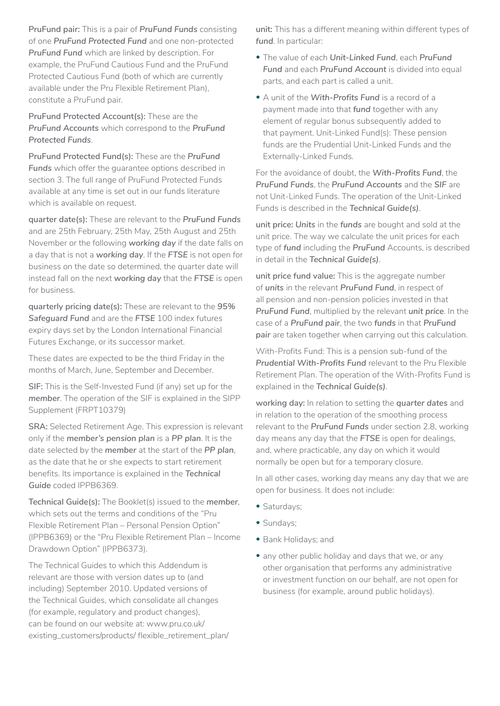**PruFund pair:** This is a pair of *PruFund Funds* consisting of one *PruFund Protected Fund* and one non-protected *PruFund Fund* which are linked by description. For example, the PruFund Cautious Fund and the PruFund Protected Cautious Fund (both of which are currently available under the Pru Flexible Retirement Plan), constitute a PruFund pair.

**PruFund Protected Account(s):** These are the *PruFund Accounts* which correspond to the *PruFund Protected Funds*.

**PruFund Protected Fund(s):** These are the *PruFund Funds* which offer the guarantee options described in section 3. The full range of PruFund Protected Funds available at any time is set out in our funds literature which is available on request.

**quarter date(s):** These are relevant to the *PruFund Funds*  and are 25th February, 25th May, 25th August and 25th November or the following *working day* if the date falls on a day that is not a *working day*. If the *FTSE* is not open for business on the date so determined, the quarter date will instead fall on the next *working day* that the *FTSE* is open for business.

**quarterly pricing date(s):** These are relevant to the *95% Safeguard Fund* and are the *FTSE* 100 index futures expiry days set by the London International Financial Futures Exchange, or its successor market.

These dates are expected to be the third Friday in the months of March, June, September and December.

**SIF:** This is the Self-Invested Fund (if any) set up for the *member*. The operation of the SIF is explained in the SIPP Supplement (FRPT10379)

**SRA:** Selected Retirement Age. This expression is relevant only if the *member's pension plan* is a *PP plan*. It is the date selected by the *member* at the start of the *PP plan*, as the date that he or she expects to start retirement benefits. Its importance is explained in the *Technical Guide* coded IPPB6369.

**Technical Guide(s):** The Booklet(s) issued to the *member*, which sets out the terms and conditions of the "Pru Flexible Retirement Plan – Personal Pension Option" (IPPB6369) or the "Pru Flexible Retirement Plan – Income Drawdown Option" (IPPB6373).

The Technical Guides to which this Addendum is relevant are those with version dates up to (and including) September 2010. Updated versions of the Technical Guides, which consolidate all changes (for example, regulatory and product changes), can be found on our website at: www.pru.co.uk/ existing\_customers/products/ flexible\_retirement\_plan/

**unit:** This has a different meaning within different types of *fund*. In particular:

- The value of each *Unit-Linked Fund*, each *PruFund*  **Fund** and each **PruFund Account** is divided into equal parts, and each part is called a unit.
- A unit of the *With-Profits Fund* is a record of a payment made into that *fund* together with any element of regular bonus subsequently added to that payment. Unit-Linked Fund(s): These pension funds are the Prudential Unit-Linked Funds and the Externally-Linked Funds.

For the avoidance of doubt, the *With-Profits Fund*, the *PruFund Funds*, the *PruFund Accounts* and the *SIF* are not Unit-Linked Funds. The operation of the Unit-Linked Funds is described in the *Technical Guide(s)*.

**unit price:** *Units* in the *funds* are bought and sold at the unit price. The way we calculate the unit prices for each type of *fund* including the *PruFund* Accounts, is described in detail in the *Technical Guide(s)*.

**unit price fund value:** This is the aggregate number of *units* in the relevant *PruFund Fund*, in respect of all pension and non-pension policies invested in that *PruFund Fund*, multiplied by the relevant *unit price*. In the case of a *PruFund pair*, the two *funds* in that *PruFund pair* are taken together when carrying out this calculation.

With-Profits Fund: This is a pension sub-fund of the *Prudential With-Profits Fund* relevant to the Pru Flexible Retirement Plan. The operation of the With-Profits Fund is explained in the *Technical Guide(s)*.

**working day:** In relation to setting the *quarter dates* and in relation to the operation of the smoothing process relevant to the *PruFund Funds* under section 2.8, working day means any day that the *FTSE* is open for dealings, and, where practicable, any day on which it would normally be open but for a temporary closure.

In all other cases, working day means any day that we are open for business. It does not include:

- Saturdays;
- Sundays;
- Bank Holidays; and
- any other public holiday and days that we, or any other organisation that performs any administrative or investment function on our behalf, are not open for business (for example, around public holidays).